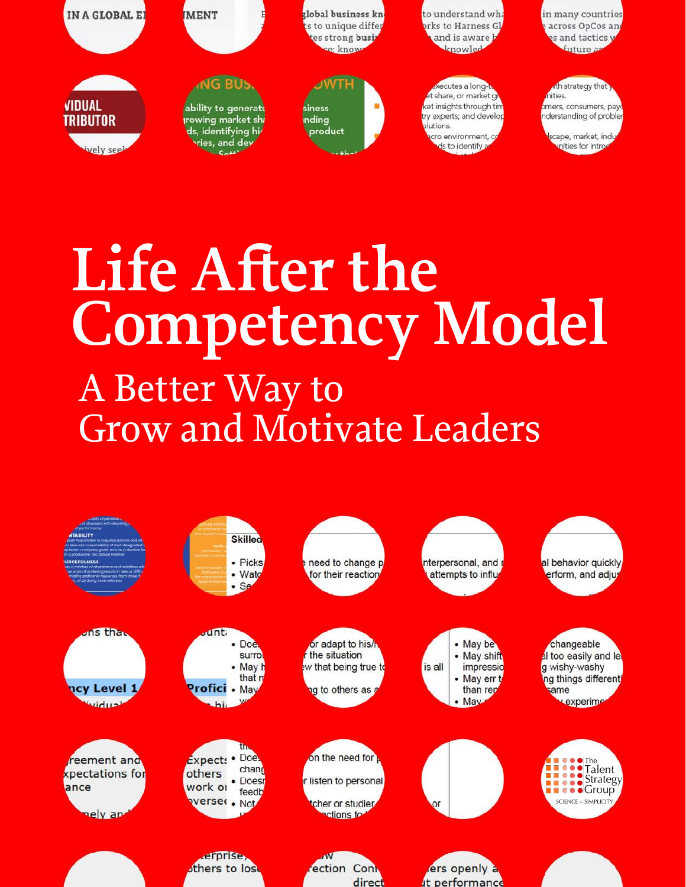

# A Better Way to Grow and Motivate Leaders **Life After the Competency Model**

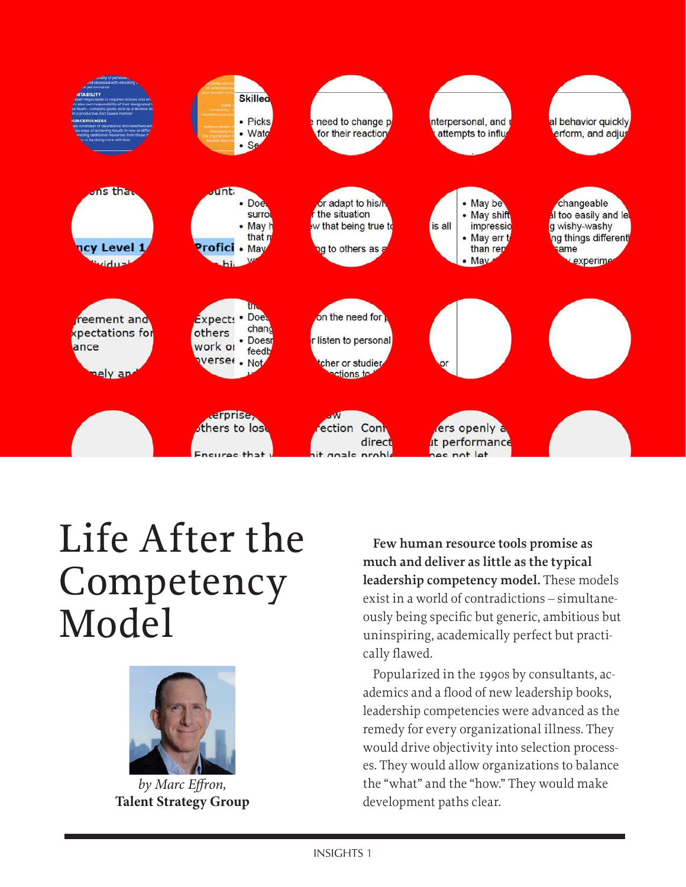

# Life After the Competency Model



*by [Marc Effron](https://www.linkedin.com/in/effron/),*  **[Talent Strategy Group](https://www.talentstrategygroup.com/publications)**

**Few human resource tools promise as much and deliver as little as the typical leadership competency model.** These models exist in a world of contradictions – simultaneously being specific but generic, ambitious but uninspiring, academically perfect but practically flawed.

Popularized in the 1990s by consultants, academics and a flood of new leadership books, leadership competencies were advanced as the remedy for every organizational illness. They would drive objectivity into selection processes. They would allow organizations to balance the "what" and the "how." They would make development paths clear.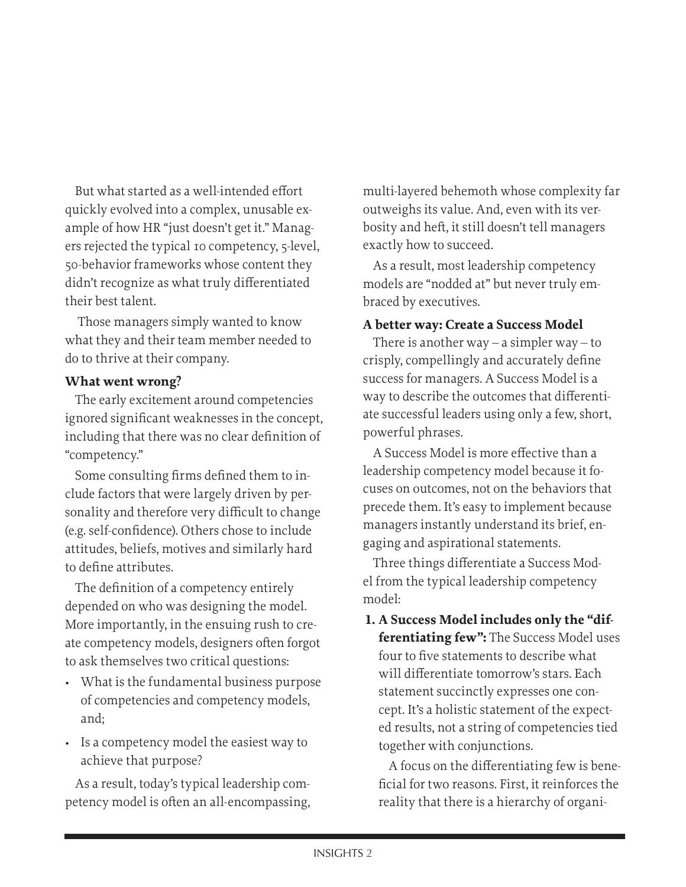But what started as a well-intended effort quickly evolved into a complex, unusable example of how HR "just doesn't get it." Managers rejected the typical 10 competency, 5-level, 50-behavior frameworks whose content they didn't recognize as what truly differentiated their best talent.

 Those managers simply wanted to know what they and their team member needed to do to thrive at their company.

# **What went wrong?**

The early excitement around competencies ignored significant weaknesses in the concept, including that there was no clear definition of "competency."

Some consulting firms defined them to include factors that were largely driven by personality and therefore very difficult to change (e.g. self-confidence). Others chose to include attitudes, beliefs, motives and similarly hard to define attributes.

The definition of a competency entirely depended on who was designing the model. More importantly, in the ensuing rush to create competency models, designers often forgot to ask themselves two critical questions:

- What is the fundamental business purpose of competencies and competency models, and;
- Is a competency model the easiest way to achieve that purpose?

As a result, today's typical leadership competency model is often an all-encompassing, multi-layered behemoth whose complexity far outweighs its value. And, even with its verbosity and heft, it still doesn't tell managers exactly how to succeed.

As a result, most leadership competency models are "nodded at" but never truly embraced by executives.

# **A better way: Create a Success Model**

There is another way  $-$  a simpler way  $-$  to crisply, compellingly and accurately define success for managers. A Success Model is a way to describe the outcomes that differentiate successful leaders using only a few, short, powerful phrases.

A Success Model is more effective than a leadership competency model because it focuses on outcomes, not on the behaviors that precede them. It's easy to implement because managers instantly understand its brief, engaging and aspirational statements.

Three things differentiate a Success Model from the typical leadership competency model:

**1. A Success Model includes only the "differentiating few":** The Success Model uses four to five statements to describe what will differentiate tomorrow's stars. Each statement succinctly expresses one concept. It's a holistic statement of the expected results, not a string of competencies tied together with conjunctions.

A focus on the differentiating few is beneficial for two reasons. First, it reinforces the reality that there is a hierarchy of organi-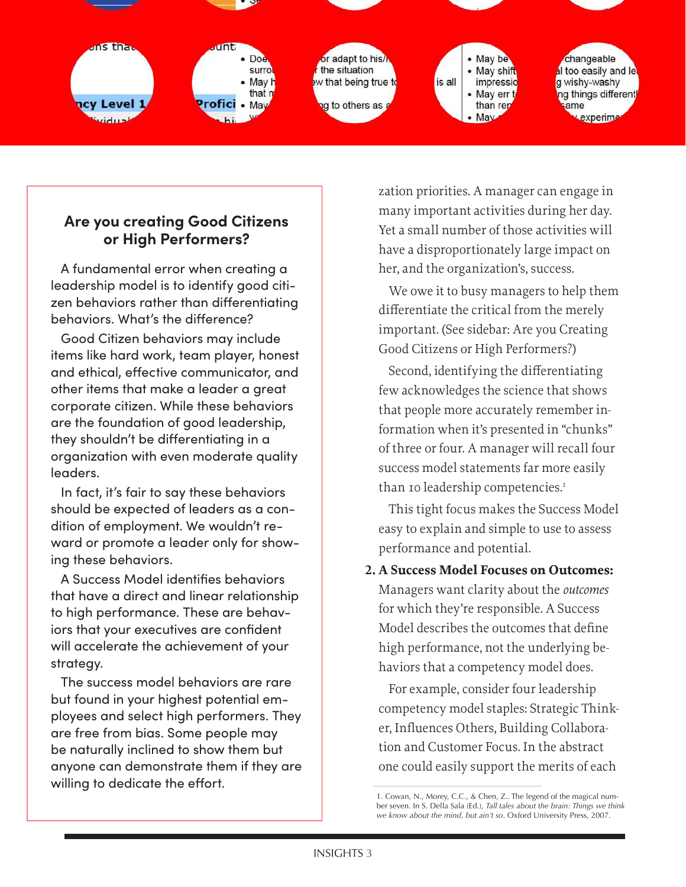

# **Are you creating Good Citizens or High Performers?**

A fundamental error when creating a leadership model is to identify good citizen behaviors rather than differentiating behaviors. What's the difference?

Good Citizen behaviors may include items like hard work, team player, honest and ethical, effective communicator, and other items that make a leader a great corporate citizen. While these behaviors are the foundation of good leadership, they shouldn't be differentiating in a organization with even moderate quality leaders.

In fact, it's fair to say these behaviors should be expected of leaders as a condition of employment. We wouldn't reward or promote a leader only for showing these behaviors.

A Success Model identifies behaviors that have a direct and linear relationship to high performance. These are behaviors that your executives are confident will accelerate the achievement of your strategy.

The success model behaviors are rare but found in your highest potential employees and select high performers. They are free from bias. Some people may be naturally inclined to show them but anyone can demonstrate them if they are willing to dedicate the effort.

zation priorities. A manager can engage in many important activities during her day. Yet a small number of those activities will have a disproportionately large impact on her, and the organization's, success.

We owe it to busy managers to help them differentiate the critical from the merely important. (See sidebar: Are you Creating Good Citizens or High Performers?)

Second, identifying the differentiating few acknowledges the science that shows that people more accurately remember information when it's presented in "chunks" of three or four. A manager will recall four success model statements far more easily than 10 leadership competencies.<sup>1</sup>

This tight focus makes the Success Model easy to explain and simple to use to assess performance and potential.

**2. A Success Model Focuses on Outcomes:**  Managers want clarity about the *outcomes* for which they're responsible. A Success Model describes the outcomes that define high performance, not the underlying behaviors that a competency model does.

For example, consider four leadership competency model staples: Strategic Thinker, Influences Others, Building Collaboration and Customer Focus. In the abstract one could easily support the merits of each

<sup>1.</sup> Cowan, N., Morey, C.C., & Chen, Z.. The legend of the magical number seven. In S. Della Sala (Ed.), *Tall tales about the brain: Things we think we know about the mind, but ain't so*. Oxford University Press, 2007.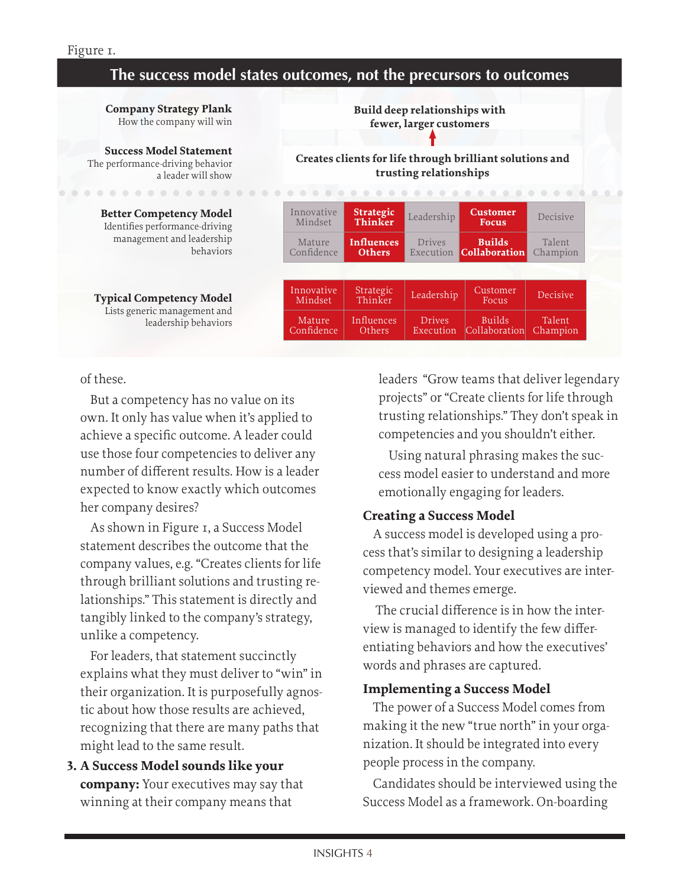# **The success model states outcomes, not the precursors to outcomes**

**Company Strategy Plank** How the company will win

**Success Model Statement** The performance-driving behavior a leader will show

**Better Competency Model** Identifies performance-driving management and leadership behaviors

. . . . . . . . . . . . . .

**Typical Competency Model** Lists generic management and leadership behaviors **Build deep relationships with fewer, larger customers**

**Creates clients for life through brilliant solutions and trusting relationships**

|                       |                                    | .                          |                                       | .                  |
|-----------------------|------------------------------------|----------------------------|---------------------------------------|--------------------|
| Innovative<br>Mindset | <b>Strategic</b><br>Thinker        | Leadership                 | <b>Customer</b><br><b>Focus</b>       | Decisive           |
| Mature<br>Confidence  | <b>Influences</b><br><b>Others</b> | Drives<br>Execution        | <b>Builds</b><br><b>Collaboration</b> | Talent<br>Champion |
|                       |                                    |                            |                                       |                    |
| Innovative<br>Mindset | Strategic<br>Thinker               | Leadership                 | Customer<br>Focus                     | Decisive           |
| Mature<br>Confidence  | Influences<br>Others               | <b>Drives</b><br>Execution | <b>Builds</b><br>Collaboration        | Talent<br>Champion |

#### of these.

But a competency has no value on its own. It only has value when it's applied to achieve a specific outcome. A leader could use those four competencies to deliver any number of different results. How is a leader expected to know exactly which outcomes her company desires?

As shown in Figure 1, a Success Model statement describes the outcome that the company values, e.g. "Creates clients for life through brilliant solutions and trusting relationships." This statement is directly and tangibly linked to the company's strategy, unlike a competency.

For leaders, that statement succinctly explains what they must deliver to "win" in their organization. It is purposefully agnostic about how those results are achieved, recognizing that there are many paths that might lead to the same result.

**3. A Success Model sounds like your company:** Your executives may say that winning at their company means that

leaders "Grow teams that deliver legendary projects" or "Create clients for life through trusting relationships." They don't speak in competencies and you shouldn't either.

Using natural phrasing makes the success model easier to understand and more emotionally engaging for leaders.

#### **Creating a Success Model**

A success model is developed using a process that's similar to designing a leadership competency model. Your executives are interviewed and themes emerge.

 The crucial difference is in how the interview is managed to identify the few differentiating behaviors and how the executives' words and phrases are captured.

#### **Implementing a Success Model**

The power of a Success Model comes from making it the new "true north" in your organization. It should be integrated into every people process in the company.

Candidates should be interviewed using the Success Model as a framework. On-boarding